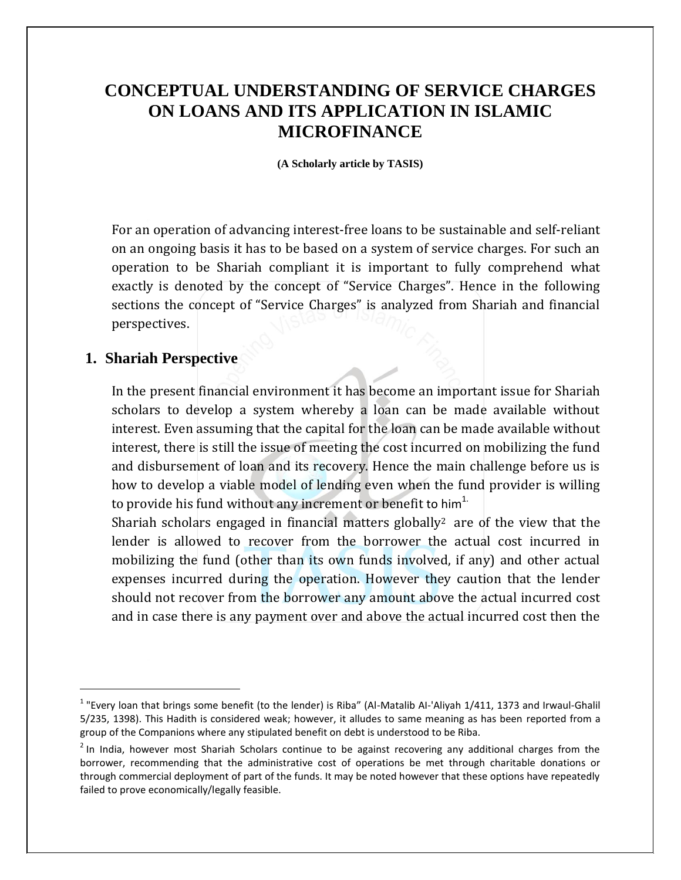# **CONCEPTUAL UNDERSTANDING OF SERVICE CHARGES ON LOANS AND ITS APPLICATION IN ISLAMIC MICROFINANCE**

**(A Scholarly article by TASIS)**

For an operation of advancing interest-free loans to be sustainable and self-reliant on an ongoing basis it has to be based on a system of service charges. For such an operation to be Shariah compliant it is important to fully comprehend what exactly is denoted by the concept of "Service Charges". Hence in the following sections the concept of "Service Charges" is analyzed from Shariah and financial perspectives.

## **1. Shariah Perspective**

 $\overline{\phantom{a}}$ 

In the present financial environment it has become an important issue for Shariah scholars to develop a system whereby a loan can be made available without interest. Even assuming that the capital for the loan can be made available without interest, there is still the issue of meeting the cost incurred on mobilizing the fund and disbursement of loan and its recovery. Hence the main challenge before us is how to develop a viable model of lending even when the fund provider is willing to provide his fund without any increment or benefit to  $him<sup>1</sup>$ .

Shariah scholars engaged in financial matters globally<sup>2</sup> are of the view that the lender is allowed to recover from the borrower the actual cost incurred in mobilizing the fund (other than its own funds involved, if any) and other actual expenses incurred during the operation. However they caution that the lender should not recover from the borrower any amount above the actual incurred cost and in case there is any payment over and above the actual incurred cost then the

<sup>&</sup>lt;sup>1</sup> "Every loan that brings some benefit (to the lender) is Riba" (Al-Matalib Al-'Aliyah 1/411, 1373 and Irwaul-Ghalil 5/235, 1398). This Hadith is considered weak; however, it alludes to same meaning as has been reported from a group of the Companions where any stipulated benefit on debt is understood to be Riba.

<sup>&</sup>lt;sup>2</sup> In India, however most Shariah Scholars continue to be against recovering any additional charges from the borrower, recommending that the administrative cost of operations be met through charitable donations or through commercial deployment of part of the funds. It may be noted however that these options have repeatedly failed to prove economically/legally feasible.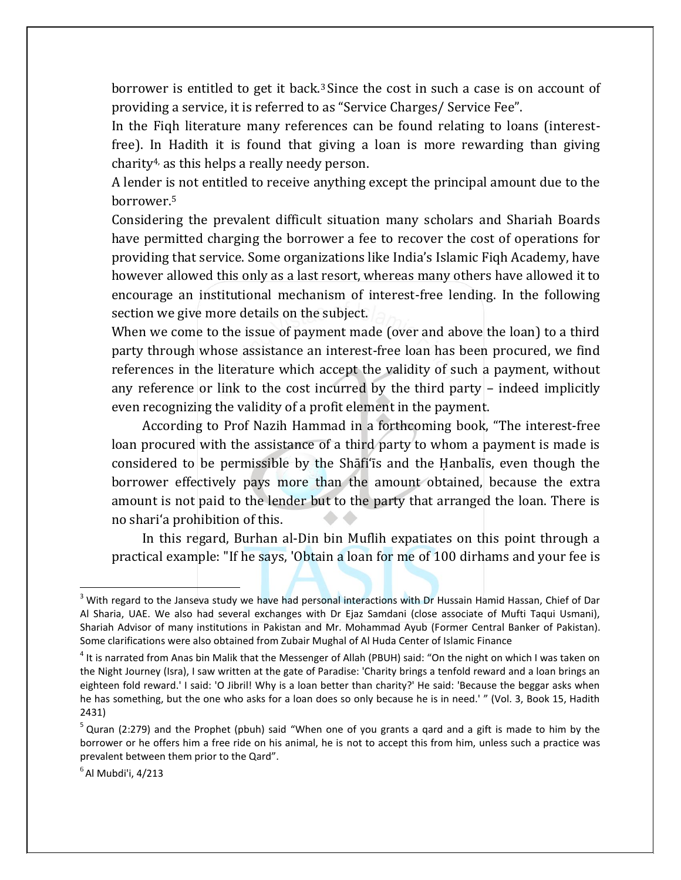borrower is entitled to get it back.<sup>3</sup> Since the cost in such a case is on account of providing a service, it is referred to as "Service Charges/ Service Fee".

In the Fiqh literature many references can be found relating to loans (interestfree). In Hadith it is found that giving a loan is more rewarding than giving charity4, as this helps a really needy person.

A lender is not entitled to receive anything except the principal amount due to the borrower. 5

Considering the prevalent difficult situation many scholars and Shariah Boards have permitted charging the borrower a fee to recover the cost of operations for providing that service. Some organizations like India's Islamic Fiqh Academy, have however allowed this only as a last resort, whereas many others have allowed it to encourage an institutional mechanism of interest-free lending. In the following section we give more details on the subject.

When we come to the issue of payment made (over and above the loan) to a third party through whose assistance an interest-free loan has been procured, we find references in the literature which accept the validity of such a payment, without any reference or link to the cost incurred by the third party – indeed implicitly even recognizing the validity of a profit element in the payment.

 According to Prof Nazih Hammad in a forthcoming book, "The interest-free loan procured with the assistance of a third party to whom a payment is made is considered to be permissible by the Shāfi'īs and the Ḥanbalīs, even though the borrower effectively pays more than the amount obtained, because the extra amount is not paid to the lender but to the party that arranged the loan. There is no shari'a prohibition of this.

 In this regard, Burhan al-Din bin Muflih expatiates on this point through a practical example: "If he says, 'Obtain a loan for me of 100 dirhams and your fee is

 $^6$ Al Mubdi'i, 4/213

 $3$  With regard to the Janseva study we have had personal interactions with Dr Hussain Hamid Hassan, Chief of Dar Al Sharia, UAE. We also had several exchanges with Dr Ejaz Samdani (close associate of Mufti Taqui Usmani), Shariah Advisor of many institutions in Pakistan and Mr. Mohammad Ayub (Former Central Banker of Pakistan). Some clarifications were also obtained from Zubair Mughal of Al Huda Center of Islamic Finance

<sup>&</sup>lt;sup>4</sup> It is narrated from Anas bin Malik that the Messenger of Allah (PBUH) said: "On the night on which I was taken on the Night Journey (Isra), I saw written at the gate of Paradise: 'Charity brings a tenfold reward and a loan brings an eighteen fold reward.' I said: 'O Jibril! Why is a loan better than charity?' He said: 'Because the beggar asks when he has something, but the one who asks for a loan does so only because he is in need.' " (Vol. 3, Book 15, Hadith 2431)

<sup>&</sup>lt;sup>5</sup> Quran (2:279) and the Prophet (pbuh) said "When one of you grants a qard and a gift is made to him by the borrower or he offers him a free ride on his animal, he is not to accept this from him, unless such a practice was prevalent between them prior to the Qard".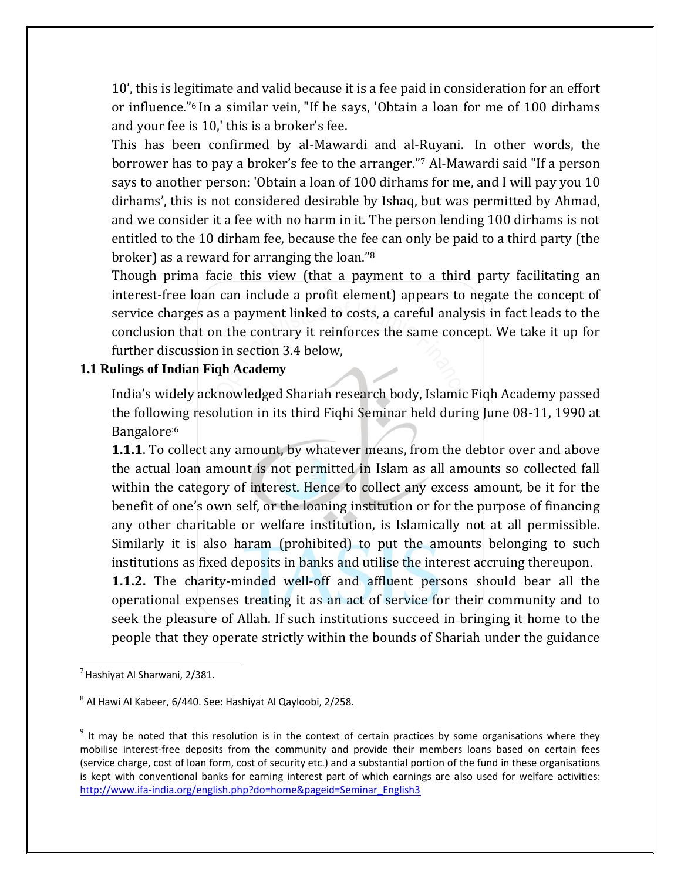10', this is legitimate and valid because it is a fee paid in consideration for an effort or influence."<sup>6</sup> In a similar vein, "If he says, 'Obtain a loan for me of 100 dirhams and your fee is 10,' this is a broker's fee.

This has been confirmed by al-Mawardi and al-Ruyani. In other words, the borrower has to pay a broker's fee to the arranger."<sup>7</sup> Al-Mawardi said "If a person says to another person: 'Obtain a loan of 100 dirhams for me, and I will pay you 10 dirhams', this is not considered desirable by Ishaq, but was permitted by Ahmad, and we consider it a fee with no harm in it. The person lending 100 dirhams is not entitled to the 10 dirham fee, because the fee can only be paid to a third party (the broker) as a reward for arranging the loan."<sup>8</sup>

Though prima facie this view (that a payment to a third party facilitating an interest-free loan can include a profit element) appears to negate the concept of service charges as a payment linked to costs, a careful analysis in fact leads to the conclusion that on the contrary it reinforces the same concept. We take it up for further discussion in section 3.4 below,

### **1.1 Rulings of Indian Fiqh Academy**

India's widely acknowledged Shariah research body, Islamic Fiqh Academy passed the following resolution in its third Fiqhi Seminar held during June 08-11, 1990 at Bangalore:6

**1.1.1**. To collect any amount, by whatever means, from the debtor over and above the actual loan amount is not permitted in Islam as all amounts so collected fall within the category of interest. Hence to collect any excess amount, be it for the benefit of one's own self, or the loaning institution or for the purpose of financing any other charitable or welfare institution, is Islamically not at all permissible. Similarly it is also haram (prohibited) to put the amounts belonging to such institutions as fixed deposits in banks and utilise the interest accruing thereupon.

**1.1.2.** The charity-minded well-off and affluent persons should bear all the operational expenses treating it as an act of service for their community and to seek the pleasure of Allah. If such institutions succeed in bringing it home to the people that they operate strictly within the bounds of Shariah under the guidance

l

 $<sup>7</sup>$  Hashiyat Al Sharwani, 2/381.</sup>

 $^8$  Al Hawi Al Kabeer, 6/440. See: Hashiyat Al Qayloobi, 2/258.

 $9$  It may be noted that this resolution is in the context of certain practices by some organisations where they mobilise interest-free deposits from the community and provide their members loans based on certain fees (service charge, cost of loan form, cost of security etc.) and a substantial portion of the fund in these organisations is kept with conventional banks for earning interest part of which earnings are also used for welfare activities: [http://www.ifa-india.org/english.php?do=home&pageid=Seminar\\_English3](http://www.ifa-india.org/english.php?do=home&pageid=Seminar_English3)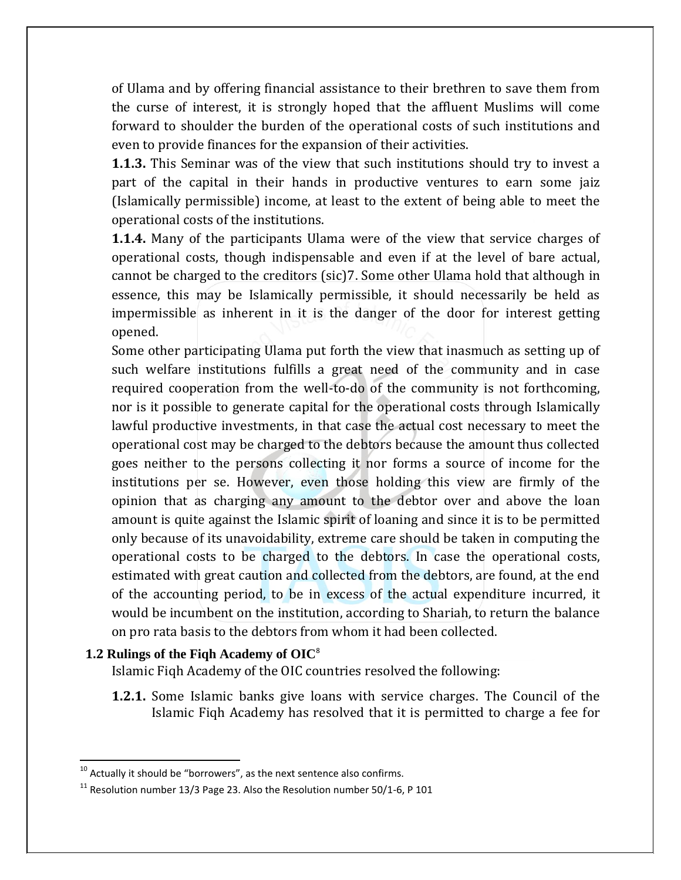of Ulama and by offering financial assistance to their brethren to save them from the curse of interest, it is strongly hoped that the affluent Muslims will come forward to shoulder the burden of the operational costs of such institutions and even to provide finances for the expansion of their activities.

**1.1.3.** This Seminar was of the view that such institutions should try to invest a part of the capital in their hands in productive ventures to earn some jaiz (Islamically permissible) income, at least to the extent of being able to meet the operational costs of the institutions.

**1.1.4.** Many of the participants Ulama were of the view that service charges of operational costs, though indispensable and even if at the level of bare actual, cannot be charged to the creditors (sic)7. Some other Ulama hold that although in essence, this may be Islamically permissible, it should necessarily be held as impermissible as inherent in it is the danger of the door for interest getting opened.

Some other participating Ulama put forth the view that inasmuch as setting up of such welfare institutions fulfills a great need of the community and in case required cooperation from the well-to-do of the community is not forthcoming, nor is it possible to generate capital for the operational costs through Islamically lawful productive investments, in that case the actual cost necessary to meet the operational cost may be charged to the debtors because the amount thus collected goes neither to the persons collecting it nor forms a source of income for the institutions per se. However, even those holding this view are firmly of the opinion that as charging any amount to the debtor over and above the loan amount is quite against the Islamic spirit of loaning and since it is to be permitted only because of its unavoidability, extreme care should be taken in computing the operational costs to be charged to the debtors. In case the operational costs, estimated with great caution and collected from the debtors, are found, at the end of the accounting period, to be in excess of the actual expenditure incurred, it would be incumbent on the institution, according to Shariah, to return the balance on pro rata basis to the debtors from whom it had been collected.

## **1.2 Rulings of the Fiqh Academy of OIC**<sup>8</sup>

l

Islamic Fiqh Academy of the OIC countries resolved the following:

**1.2.1.** Some Islamic banks give loans with service charges. The Council of the Islamic Fiqh Academy has resolved that it is permitted to charge a fee for

 $10$  Actually it should be "borrowers", as the next sentence also confirms.

 $11$  Resolution number 13/3 Page 23. Also the Resolution number 50/1-6, P 101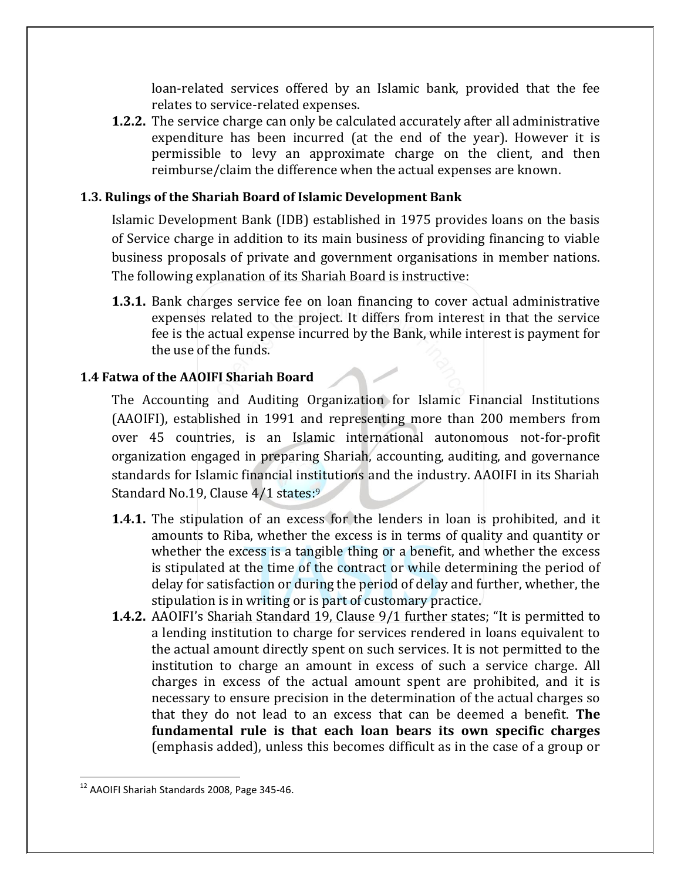loan-related services offered by an Islamic bank, provided that the fee relates to service-related expenses.

**1.2.2.** The service charge can only be calculated accurately after all administrative expenditure has been incurred (at the end of the year). However it is permissible to levy an approximate charge on the client, and then reimburse/claim the difference when the actual expenses are known.

## **1.3. Rulings of the Shariah Board of Islamic Development Bank**

Islamic Development Bank (IDB) established in 1975 provides loans on the basis of Service charge in addition to its main business of providing financing to viable business proposals of private and government organisations in member nations. The following explanation of its Shariah Board is instructive:

**1.3.1.** Bank charges service fee on loan financing to cover actual administrative expenses related to the project. It differs from interest in that the service fee is the actual expense incurred by the Bank, while interest is payment for the use of the funds.

### **1.4 Fatwa of the AAOIFI Shariah Board**

The Accounting and Auditing Organization for Islamic Financial Institutions (AAOIFI), established in 1991 and representing more than 200 members from over 45 countries, is an Islamic international autonomous not-for-profit organization engaged in preparing Shariah, accounting, auditing, and governance standards for Islamic financial institutions and the industry. AAOIFI in its Shariah Standard No.19, Clause 4/1 states:<sup>9</sup>

- **1.4.1.** The stipulation of an excess for the lenders in loan is prohibited, and it amounts to Riba, whether the excess is in terms of quality and quantity or whether the excess is a tangible thing or a benefit, and whether the excess is stipulated at the time of the contract or while determining the period of delay for satisfaction or during the period of delay and further, whether, the stipulation is in writing or is part of customary practice.
- **1.4.2.** AAOIFI's Shariah Standard 19, Clause 9/1 further states; "It is permitted to a lending institution to charge for services rendered in loans equivalent to the actual amount directly spent on such services. It is not permitted to the institution to charge an amount in excess of such a service charge. All charges in excess of the actual amount spent are prohibited, and it is necessary to ensure precision in the determination of the actual charges so that they do not lead to an excess that can be deemed a benefit. **The fundamental rule is that each loan bears its own specific charges** (emphasis added), unless this becomes difficult as in the case of a group or

<sup>12</sup> AAOIFI Shariah Standards 2008, Page 345-46.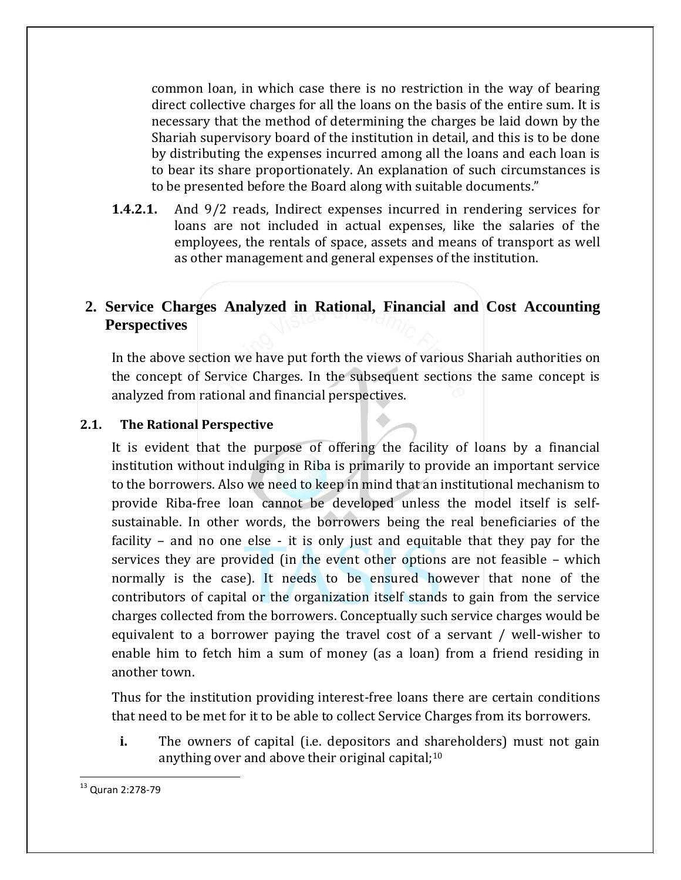common loan, in which case there is no restriction in the way of bearing direct collective charges for all the loans on the basis of the entire sum. It is necessary that the method of determining the charges be laid down by the Shariah supervisory board of the institution in detail, and this is to be done by distributing the expenses incurred among all the loans and each loan is to bear its share proportionately. An explanation of such circumstances is to be presented before the Board along with suitable documents."

**1.4.2.1.** And 9/2 reads, Indirect expenses incurred in rendering services for loans are not included in actual expenses, like the salaries of the employees, the rentals of space, assets and means of transport as well as other management and general expenses of the institution.

## **2. Service Charges Analyzed in Rational, Financial and Cost Accounting Perspectives**

In the above section we have put forth the views of various Shariah authorities on the concept of Service Charges. In the subsequent sections the same concept is analyzed from rational and financial perspectives.

#### **2.1. The Rational Perspective**

It is evident that the purpose of offering the facility of loans by a financial institution without indulging in Riba is primarily to provide an important service to the borrowers. Also we need to keep in mind that an institutional mechanism to provide Riba-free loan cannot be developed unless the model itself is selfsustainable. In other words, the borrowers being the real beneficiaries of the facility – and no one else - it is only just and equitable that they pay for the services they are provided (in the event other options are not feasible – which normally is the case). It needs to be ensured however that none of the contributors of capital or the organization itself stands to gain from the service charges collected from the borrowers. Conceptually such service charges would be equivalent to a borrower paying the travel cost of a servant / well-wisher to enable him to fetch him a sum of money (as a loan) from a friend residing in another town.

Thus for the institution providing interest-free loans there are certain conditions that need to be met for it to be able to collect Service Charges from its borrowers.

**i.** The owners of capital (i.e. depositors and shareholders) must not gain anything over and above their original capital;<sup>10</sup>

<sup>&</sup>lt;sup>13</sup> Quran 2:278-79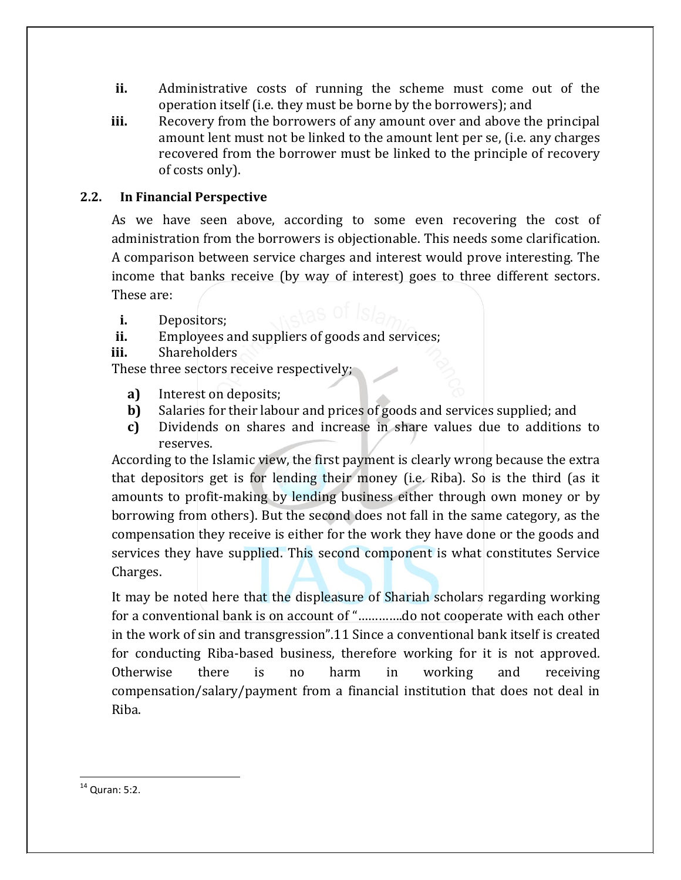- **ii.** Administrative costs of running the scheme must come out of the operation itself (i.e. they must be borne by the borrowers); and
- **iii.** Recovery from the borrowers of any amount over and above the principal amount lent must not be linked to the amount lent per se, (i.e. any charges recovered from the borrower must be linked to the principle of recovery of costs only).

### **2.2. In Financial Perspective**

As we have seen above, according to some even recovering the cost of administration from the borrowers is objectionable. This needs some clarification. A comparison between service charges and interest would prove interesting. The income that banks receive (by way of interest) goes to three different sectors. These are:

- **i.** Depositors;
- **ii.** Employees and suppliers of goods and services;
- **iii.** Shareholders

These three sectors receive respectively;

- **a)** Interest on deposits;
- **b)** Salaries for their labour and prices of goods and services supplied; and
- **c)** Dividends on shares and increase in share values due to additions to reserves.

According to the Islamic view, the first payment is clearly wrong because the extra that depositors get is for lending their money (i.e. Riba). So is the third (as it amounts to profit-making by lending business either through own money or by borrowing from others). But the second does not fall in the same category, as the compensation they receive is either for the work they have done or the goods and services they have supplied. This second component is what constitutes Service Charges.

It may be noted here that the displeasure of Shariah scholars regarding working for a conventional bank is on account of "………….do not cooperate with each other in the work of sin and transgression".11 Since a conventional bank itself is created for conducting Riba-based business, therefore working for it is not approved. Otherwise there is no harm in working and receiving compensation/salary/payment from a financial institution that does not deal in Riba.

 $14$  Quran: 5:2.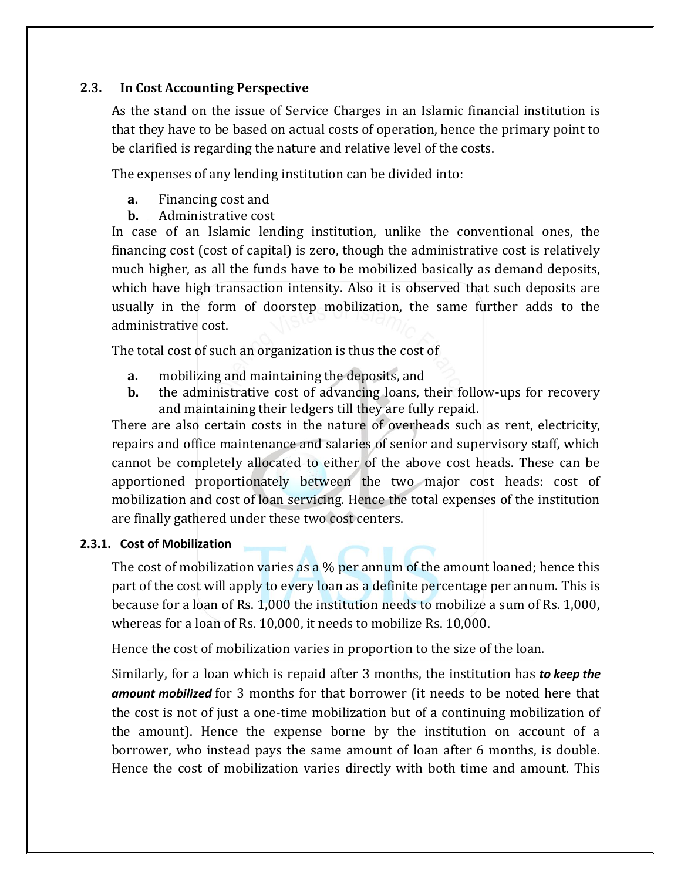### **2.3. In Cost Accounting Perspective**

As the stand on the issue of Service Charges in an Islamic financial institution is that they have to be based on actual costs of operation, hence the primary point to be clarified is regarding the nature and relative level of the costs.

The expenses of any lending institution can be divided into:

- **a.** Financing cost and
- **b.** Administrative cost

In case of an Islamic lending institution, unlike the conventional ones, the financing cost (cost of capital) is zero, though the administrative cost is relatively much higher, as all the funds have to be mobilized basically as demand deposits, which have high transaction intensity. Also it is observed that such deposits are usually in the form of doorstep mobilization, the same further adds to the administrative cost.

The total cost of such an organization is thus the cost of

- **a.** mobilizing and maintaining the deposits, and
- **b.** the administrative cost of advancing loans, their follow-ups for recovery and maintaining their ledgers till they are fully repaid.

There are also certain costs in the nature of overheads such as rent, electricity, repairs and office maintenance and salaries of senior and supervisory staff, which cannot be completely allocated to either of the above cost heads. These can be apportioned proportionately between the two major cost heads: cost of mobilization and cost of loan servicing. Hence the total expenses of the institution are finally gathered under these two cost centers.

## **2.3.1. Cost of Mobilization**

The cost of mobilization varies as a % per annum of the amount loaned; hence this part of the cost will apply to every loan as a definite percentage per annum. This is because for a loan of Rs. 1,000 the institution needs to mobilize a sum of Rs. 1,000, whereas for a loan of Rs. 10,000, it needs to mobilize Rs. 10,000.

Hence the cost of mobilization varies in proportion to the size of the loan.

Similarly, for a loan which is repaid after 3 months, the institution has *to keep the amount mobilized* for 3 months for that borrower (it needs to be noted here that the cost is not of just a one-time mobilization but of a continuing mobilization of the amount). Hence the expense borne by the institution on account of a borrower, who instead pays the same amount of loan after 6 months, is double. Hence the cost of mobilization varies directly with both time and amount. This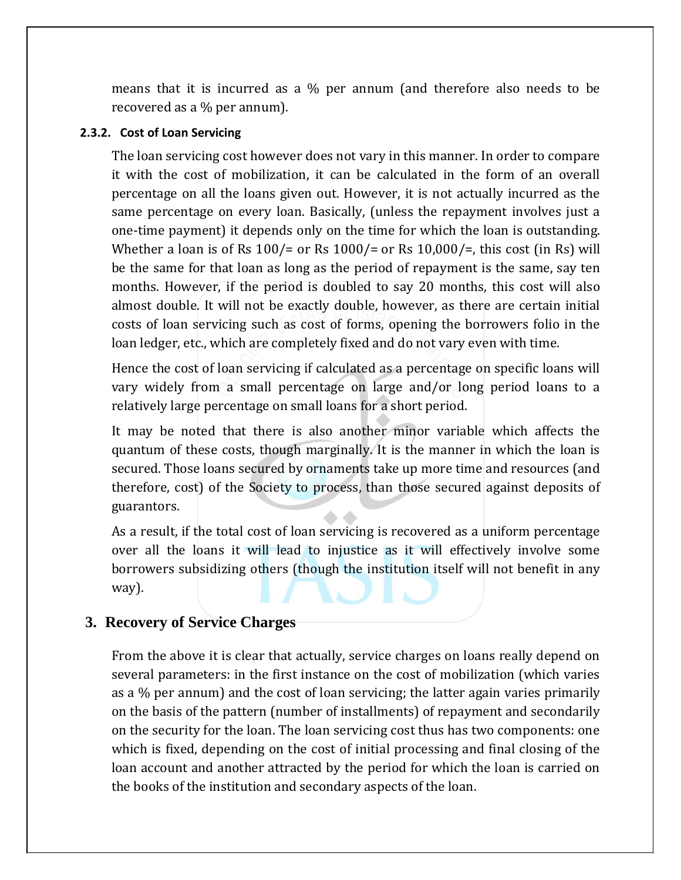means that it is incurred as a % per annum (and therefore also needs to be recovered as a % per annum).

#### **2.3.2. Cost of Loan Servicing**

The loan servicing cost however does not vary in this manner. In order to compare it with the cost of mobilization, it can be calculated in the form of an overall percentage on all the loans given out. However, it is not actually incurred as the same percentage on every loan. Basically, (unless the repayment involves just a one-time payment) it depends only on the time for which the loan is outstanding. Whether a loan is of Rs  $100/$ = or Rs  $1000/$ = or Rs  $10,000/$ =, this cost (in Rs) will be the same for that loan as long as the period of repayment is the same, say ten months. However, if the period is doubled to say 20 months, this cost will also almost double. It will not be exactly double, however, as there are certain initial costs of loan servicing such as cost of forms, opening the borrowers folio in the loan ledger, etc., which are completely fixed and do not vary even with time.

Hence the cost of loan servicing if calculated as a percentage on specific loans will vary widely from a small percentage on large and/or long period loans to a relatively large percentage on small loans for a short period.

It may be noted that there is also another minor variable which affects the quantum of these costs, though marginally. It is the manner in which the loan is secured. Those loans secured by ornaments take up more time and resources (and therefore, cost) of the Society to process, than those secured against deposits of guarantors.

As a result, if the total cost of loan servicing is recovered as a uniform percentage over all the loans it will lead to injustice as it will effectively involve some borrowers subsidizing others (though the institution itself will not benefit in any way).

## **3. Recovery of Service Charges**

From the above it is clear that actually, service charges on loans really depend on several parameters: in the first instance on the cost of mobilization (which varies as a % per annum) and the cost of loan servicing; the latter again varies primarily on the basis of the pattern (number of installments) of repayment and secondarily on the security for the loan. The loan servicing cost thus has two components: one which is fixed, depending on the cost of initial processing and final closing of the loan account and another attracted by the period for which the loan is carried on the books of the institution and secondary aspects of the loan.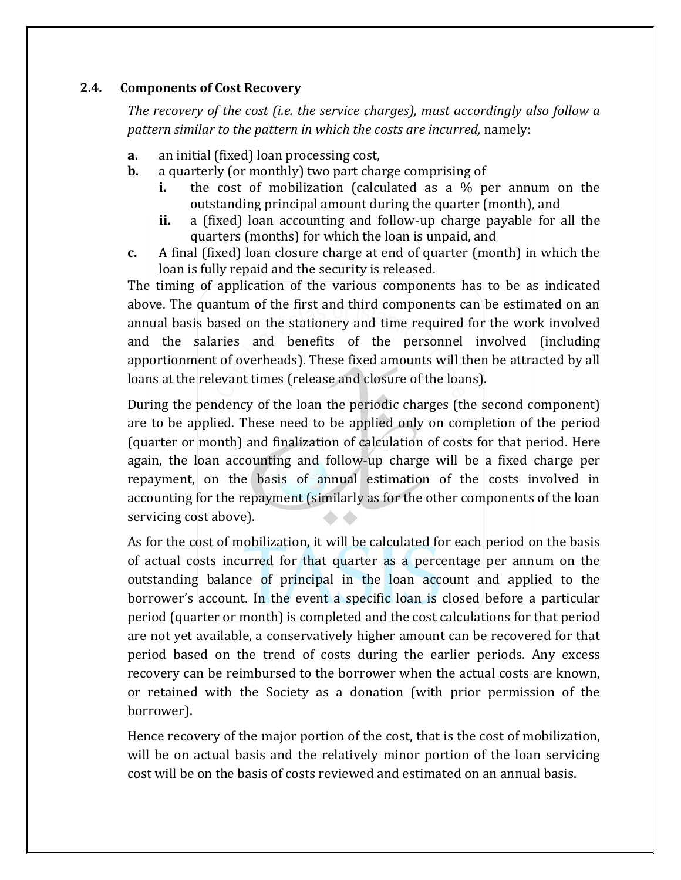### **2.4. Components of Cost Recovery**

*The recovery of the cost (i.e. the service charges), must accordingly also follow a pattern similar to the pattern in which the costs are incurred,* namely:

- **a.** an initial (fixed) loan processing cost,
- **b.** a quarterly (or monthly) two part charge comprising of
	- **i.** the cost of mobilization (calculated as a % per annum on the outstanding principal amount during the quarter (month), and
	- **ii.** a (fixed) loan accounting and follow-up charge payable for all the quarters (months) for which the loan is unpaid, and
- **c.** A final (fixed) loan closure charge at end of quarter (month) in which the loan is fully repaid and the security is released.

The timing of application of the various components has to be as indicated above. The quantum of the first and third components can be estimated on an annual basis based on the stationery and time required for the work involved and the salaries and benefits of the personnel involved (including apportionment of overheads). These fixed amounts will then be attracted by all loans at the relevant times (release and closure of the loans).

During the pendency of the loan the periodic charges (the second component) are to be applied. These need to be applied only on completion of the period (quarter or month) and finalization of calculation of costs for that period. Here again, the loan accounting and follow-up charge will be a fixed charge per repayment, on the basis of annual estimation of the costs involved in accounting for the repayment (similarly as for the other components of the loan  $\bullet$   $\bullet$ servicing cost above).

As for the cost of mobilization, it will be calculated for each period on the basis of actual costs incurred for that quarter as a percentage per annum on the outstanding balance of principal in the loan account and applied to the borrower's account. In the event a specific loan is closed before a particular period (quarter or month) is completed and the cost calculations for that period are not yet available, a conservatively higher amount can be recovered for that period based on the trend of costs during the earlier periods. Any excess recovery can be reimbursed to the borrower when the actual costs are known, or retained with the Society as a donation (with prior permission of the borrower).

Hence recovery of the major portion of the cost, that is the cost of mobilization, will be on actual basis and the relatively minor portion of the loan servicing cost will be on the basis of costs reviewed and estimated on an annual basis.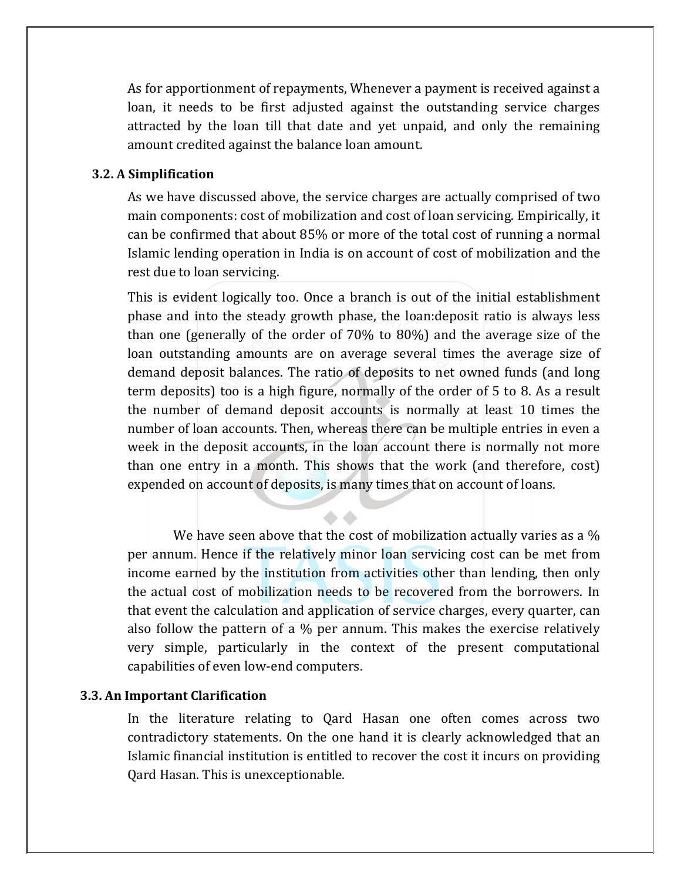As for apportionment of repayments, Whenever a payment is received against a loan, it needs to be first adjusted against the outstanding service charges attracted by the loan till that date and yet unpaid, and only the remaining amount credited against the balance loan amount.

### **3.2. A Simplification**

As we have discussed above, the service charges are actually comprised of two main components: cost of mobilization and cost of loan servicing. Empirically, it can be confirmed that about 85% or more of the total cost of running a normal Islamic lending operation in India is on account of cost of mobilization and the rest due to loan servicing.

This is evident logically too. Once a branch is out of the initial establishment phase and into the steady growth phase, the loan:deposit ratio is always less than one (generally of the order of 70% to 80%) and the average size of the loan outstanding amounts are on average several times the average size of demand deposit balances. The ratio of deposits to net owned funds (and long term deposits) too is a high figure, normally of the order of 5 to 8. As a result the number of demand deposit accounts is normally at least 10 times the number of loan accounts. Then, whereas there can be multiple entries in even a week in the deposit accounts, in the loan account there is normally not more than one entry in a month. This shows that the work (and therefore, cost) expended on account of deposits, is many times that on account of loans.

We have seen above that the cost of mobilization actually varies as a % per annum. Hence if the relatively minor loan servicing cost can be met from income earned by the institution from activities other than lending, then only the actual cost of mobilization needs to be recovered from the borrowers. In that event the calculation and application of service charges, every quarter, can also follow the pattern of a % per annum. This makes the exercise relatively very simple, particularly in the context of the present computational capabilities of even low-end computers.

#### **3.3. An Important Clarification**

In the literature relating to Qard Hasan one often comes across two contradictory statements. On the one hand it is clearly acknowledged that an Islamic financial institution is entitled to recover the cost it incurs on providing Qard Hasan. This is unexceptionable.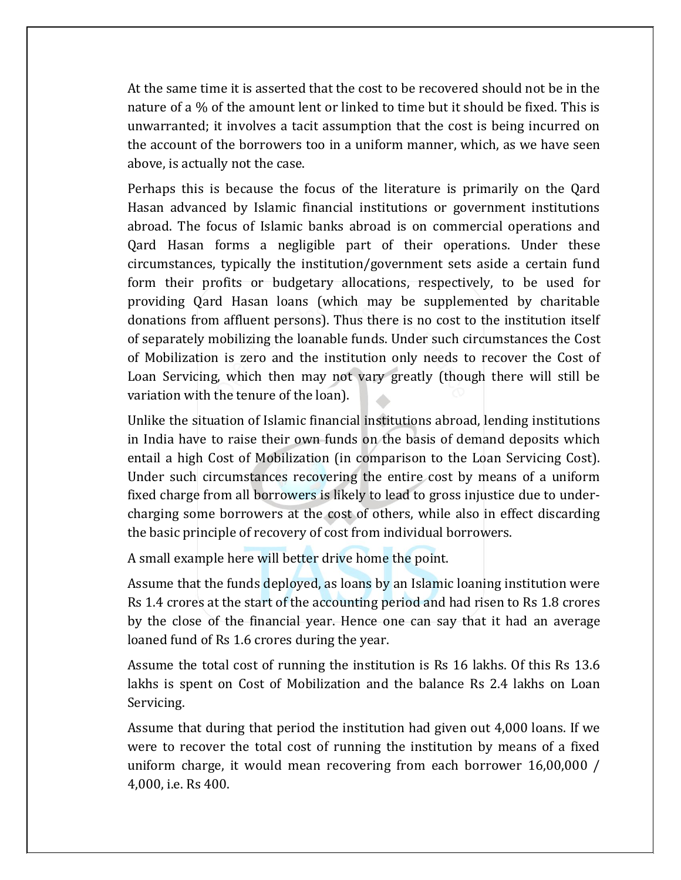At the same time it is asserted that the cost to be recovered should not be in the nature of a % of the amount lent or linked to time but it should be fixed. This is unwarranted; it involves a tacit assumption that the cost is being incurred on the account of the borrowers too in a uniform manner, which, as we have seen above, is actually not the case.

Perhaps this is because the focus of the literature is primarily on the Qard Hasan advanced by Islamic financial institutions or government institutions abroad. The focus of Islamic banks abroad is on commercial operations and Qard Hasan forms a negligible part of their operations. Under these circumstances, typically the institution/government sets aside a certain fund form their profits or budgetary allocations, respectively, to be used for providing Qard Hasan loans (which may be supplemented by charitable donations from affluent persons). Thus there is no cost to the institution itself of separately mobilizing the loanable funds. Under such circumstances the Cost of Mobilization is zero and the institution only needs to recover the Cost of Loan Servicing, which then may not vary greatly (though there will still be variation with the tenure of the loan).

Unlike the situation of Islamic financial institutions abroad, lending institutions in India have to raise their own funds on the basis of demand deposits which entail a high Cost of Mobilization (in comparison to the Loan Servicing Cost). Under such circumstances recovering the entire cost by means of a uniform fixed charge from all borrowers is likely to lead to gross injustice due to undercharging some borrowers at the cost of others, while also in effect discarding the basic principle of recovery of cost from individual borrowers.

A small example here will better drive home the point.

Assume that the funds deployed, as loans by an Islamic loaning institution were Rs 1.4 crores at the start of the accounting period and had risen to Rs 1.8 crores by the close of the financial year. Hence one can say that it had an average loaned fund of Rs 1.6 crores during the year.

Assume the total cost of running the institution is Rs 16 lakhs. Of this Rs 13.6 lakhs is spent on Cost of Mobilization and the balance Rs 2.4 lakhs on Loan Servicing.

Assume that during that period the institution had given out 4,000 loans. If we were to recover the total cost of running the institution by means of a fixed uniform charge, it would mean recovering from each borrower 16,00,000 / 4,000, i.e. Rs 400.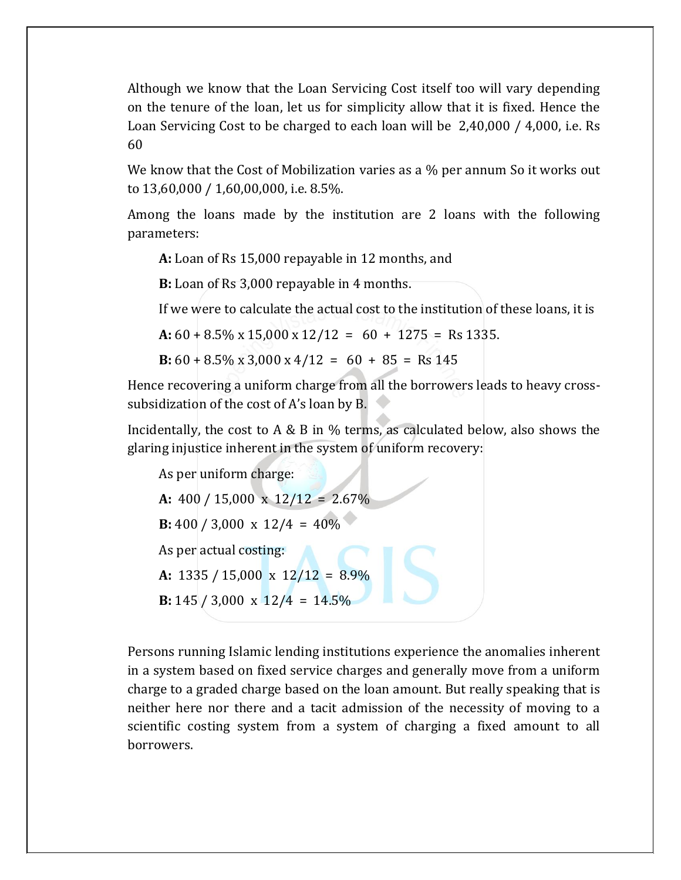Although we know that the Loan Servicing Cost itself too will vary depending on the tenure of the loan, let us for simplicity allow that it is fixed. Hence the Loan Servicing Cost to be charged to each loan will be 2,40,000 / 4,000, i.e. Rs 60

We know that the Cost of Mobilization varies as a % per annum So it works out to 13,60,000 / 1,60,00,000, i.e. 8.5%.

Among the loans made by the institution are 2 loans with the following parameters:

**A:** Loan of Rs 15,000 repayable in 12 months, and

**B:** Loan of Rs 3,000 repayable in 4 months.

If we were to calculate the actual cost to the institution of these loans, it is

**A:** 60 + 8.5% x 15,000 x 12/12 = 60 + 1275 = Rs 1335.

**B:**  $60 + 8.5\% \times 3,000 \times 4/12 = 60 + 85 = \text{Rs } 145$ 

Hence recovering a uniform charge from all the borrowers leads to heavy crosssubsidization of the cost of A's loan by B.

Incidentally, the cost to A & B in % terms, as calculated below, also shows the glaring injustice inherent in the system of uniform recovery:

As per uniform charge: **A:** 400 / 15,000 x 12/12 = 2.67% **B:** 400 / 3,000 x  $12/4 = 40\%$ As per actual costing: **A:** 1335 / 15,000 x 12/12 = 8.9% **B:** 145 / 3,000 x  $12/4 = 14.5\%$ 

Persons running Islamic lending institutions experience the anomalies inherent in a system based on fixed service charges and generally move from a uniform charge to a graded charge based on the loan amount. But really speaking that is neither here nor there and a tacit admission of the necessity of moving to a scientific costing system from a system of charging a fixed amount to all borrowers.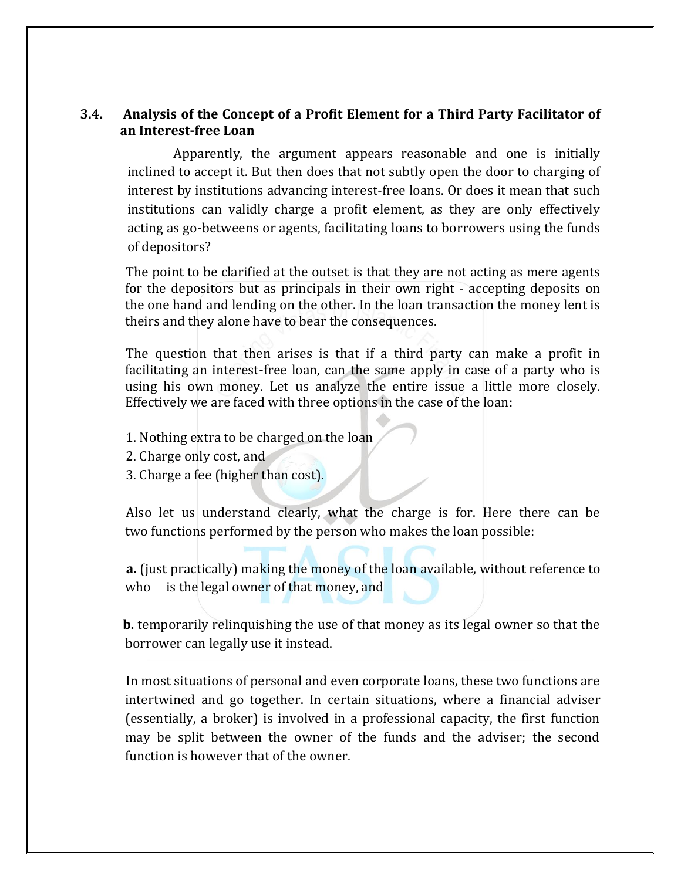## **3.4. Analysis of the Concept of a Profit Element for a Third Party Facilitator of an Interest-free Loan**

 Apparently, the argument appears reasonable and one is initially inclined to accept it. But then does that not subtly open the door to charging of interest by institutions advancing interest-free loans. Or does it mean that such institutions can validly charge a profit element, as they are only effectively acting as go-betweens or agents, facilitating loans to borrowers using the funds of depositors?

 The point to be clarified at the outset is that they are not acting as mere agents for the depositors but as principals in their own right - accepting deposits on the one hand and lending on the other. In the loan transaction the money lent is theirs and they alone have to bear the consequences.

 The question that then arises is that if a third party can make a profit in facilitating an interest-free loan, can the same apply in case of a party who is using his own money. Let us analyze the entire issue a little more closely. Effectively we are faced with three options in the case of the loan:

- 1. Nothing extra to be charged on the loan
- 2. Charge only cost, and
- 3. Charge a fee (higher than cost).

 Also let us understand clearly, what the charge is for. Here there can be two functions performed by the person who makes the loan possible:

 **a.** (just practically) making the money of the loan available, without reference to who is the legal owner of that money, and

 **b.** temporarily relinquishing the use of that money as its legal owner so that the borrower can legally use it instead.

 In most situations of personal and even corporate loans, these two functions are intertwined and go together. In certain situations, where a financial adviser (essentially, a broker) is involved in a professional capacity, the first function may be split between the owner of the funds and the adviser; the second function is however that of the owner.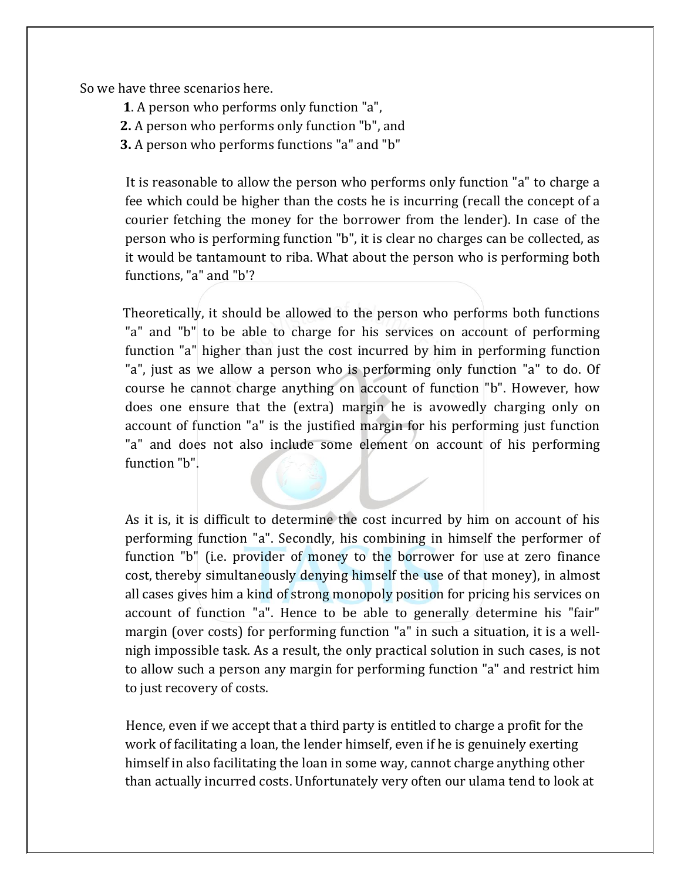So we have three scenarios here.

**1**. A person who performs only function "a",

 **2.** A person who performs only function "b", and

 **3.** A person who performs functions "a" and "b"

 It is reasonable to allow the person who performs only function "a" to charge a fee which could be higher than the costs he is incurring (recall the concept of a courier fetching the money for the borrower from the lender). In case of the person who is performing function "b", it is clear no charges can be collected, as it would be tantamount to riba. What about the person who is performing both functions, "a" and "b'?

 Theoretically, it should be allowed to the person who performs both functions "a" and "b" to be able to charge for his services on account of performing function "a" higher than just the cost incurred by him in performing function "a", just as we allow a person who is performing only function "a" to do. Of course he cannot charge anything on account of function "b". However, how does one ensure that the (extra) margin he is avowedly charging only on account of function "a" is the justified margin for his performing just function "a" and does not also include some element on account of his performing function "b".

As it is, it is difficult to determine the cost incurred by him on account of his performing function "a". Secondly, his combining in himself the performer of function "b" (i.e. provider of money to the borrower for use at zero finance cost, thereby simultaneously denying himself the use of that money), in almost all cases gives him a kind of strong monopoly position for pricing his services on account of function "a". Hence to be able to generally determine his "fair" margin (over costs) for performing function "a" in such a situation, it is a wellnigh impossible task. As a result, the only practical solution in such cases, is not to allow such a person any margin for performing function "a" and restrict him to just recovery of costs.

 Hence, even if we accept that a third party is entitled to charge a profit for the work of facilitating a loan, the lender himself, even if he is genuinely exerting himself in also facilitating the loan in some way, cannot charge anything other than actually incurred costs. Unfortunately very often our ulama tend to look at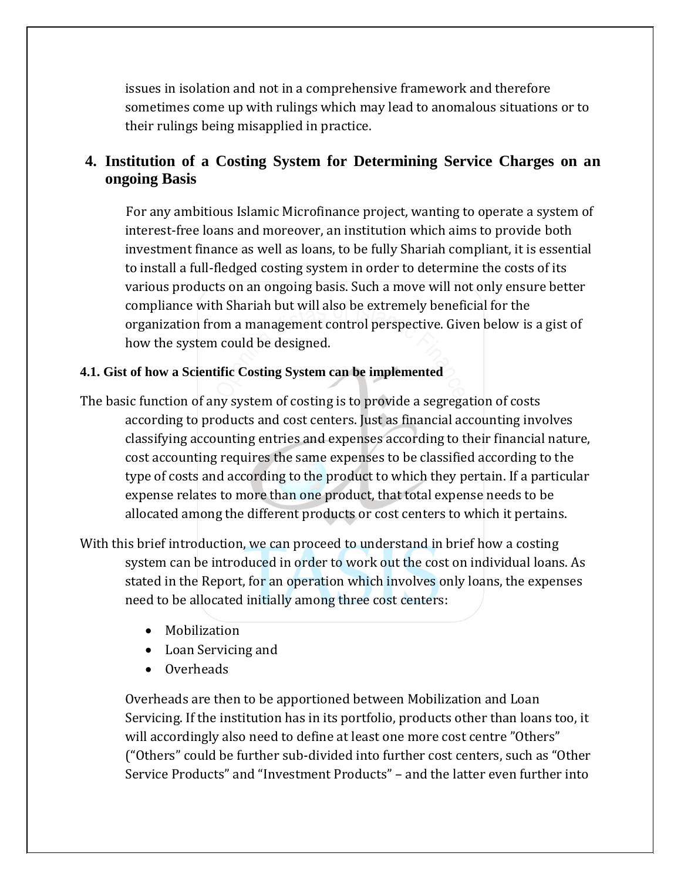issues in isolation and not in a comprehensive framework and therefore sometimes come up with rulings which may lead to anomalous situations or to their rulings being misapplied in practice.

## **4. Institution of a Costing System for Determining Service Charges on an ongoing Basis**

 For any ambitious Islamic Microfinance project, wanting to operate a system of interest-free loans and moreover, an institution which aims to provide both investment finance as well as loans, to be fully Shariah compliant, it is essential to install a full-fledged costing system in order to determine the costs of its various products on an ongoing basis. Such a move will not only ensure better compliance with Shariah but will also be extremely beneficial for the organization from a management control perspective. Given below is a gist of how the system could be designed.

## **4.1. Gist of how a Scientific Costing System can be implemented**

The basic function of any system of costing is to provide a segregation of costs according to products and cost centers. Just as financial accounting involves classifying accounting entries and expenses according to their financial nature, cost accounting requires the same expenses to be classified according to the type of costs and according to the product to which they pertain. If a particular expense relates to more than one product, that total expense needs to be allocated among the different products or cost centers to which it pertains.

With this brief introduction, we can proceed to understand in brief how a costing system can be introduced in order to work out the cost on individual loans. As stated in the Report, for an operation which involves only loans, the expenses need to be allocated initially among three cost centers:

- Mobilization
- Loan Servicing and
- Overheads

Overheads are then to be apportioned between Mobilization and Loan Servicing. If the institution has in its portfolio, products other than loans too, it will accordingly also need to define at least one more cost centre "Others" ("Others" could be further sub-divided into further cost centers, such as "Other Service Products" and "Investment Products" – and the latter even further into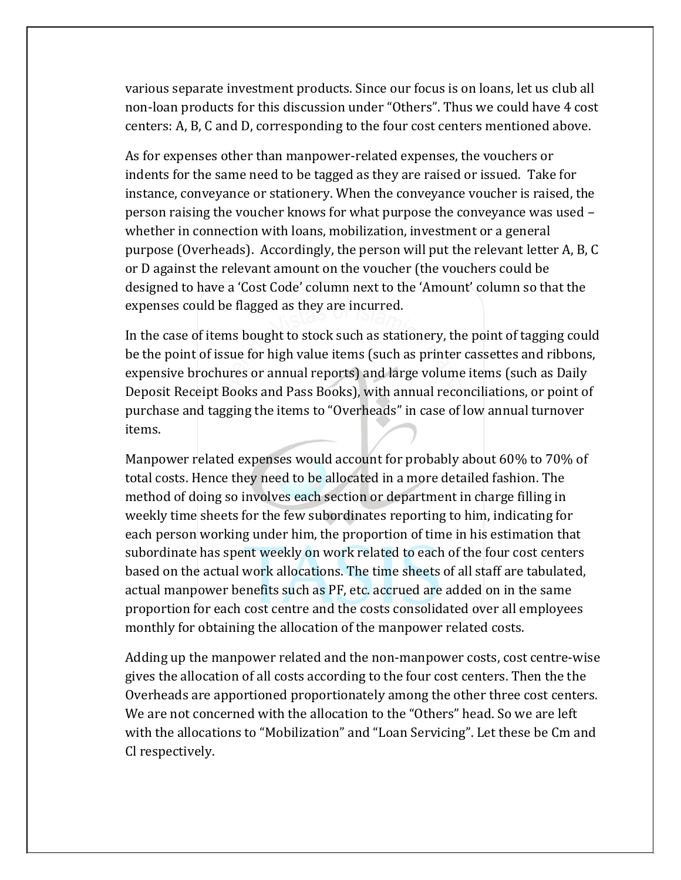various separate investment products. Since our focus is on loans, let us club all non-loan products for this discussion under "Others". Thus we could have 4 cost centers: A, B, C and D, corresponding to the four cost centers mentioned above.

As for expenses other than manpower-related expenses, the vouchers or indents for the same need to be tagged as they are raised or issued. Take for instance, conveyance or stationery. When the conveyance voucher is raised, the person raising the voucher knows for what purpose the conveyance was used – whether in connection with loans, mobilization, investment or a general purpose (Overheads). Accordingly, the person will put the relevant letter A, B, C or D against the relevant amount on the voucher (the vouchers could be designed to have a 'Cost Code' column next to the 'Amount' column so that the expenses could be flagged as they are incurred.

In the case of items bought to stock such as stationery, the point of tagging could be the point of issue for high value items (such as printer cassettes and ribbons, expensive brochures or annual reports) and large volume items (such as Daily Deposit Receipt Books and Pass Books), with annual reconciliations, or point of purchase and tagging the items to "Overheads" in case of low annual turnover items.

Manpower related expenses would account for probably about 60% to 70% of total costs. Hence they need to be allocated in a more detailed fashion. The method of doing so involves each section or department in charge filling in weekly time sheets for the few subordinates reporting to him, indicating for each person working under him, the proportion of time in his estimation that subordinate has spent weekly on work related to each of the four cost centers based on the actual work allocations. The time sheets of all staff are tabulated, actual manpower benefits such as PF, etc. accrued are added on in the same proportion for each cost centre and the costs consolidated over all employees monthly for obtaining the allocation of the manpower related costs.

Adding up the manpower related and the non-manpower costs, cost centre-wise gives the allocation of all costs according to the four cost centers. Then the the Overheads are apportioned proportionately among the other three cost centers. We are not concerned with the allocation to the "Others" head. So we are left with the allocations to "Mobilization" and "Loan Servicing". Let these be Cm and Cl respectively.